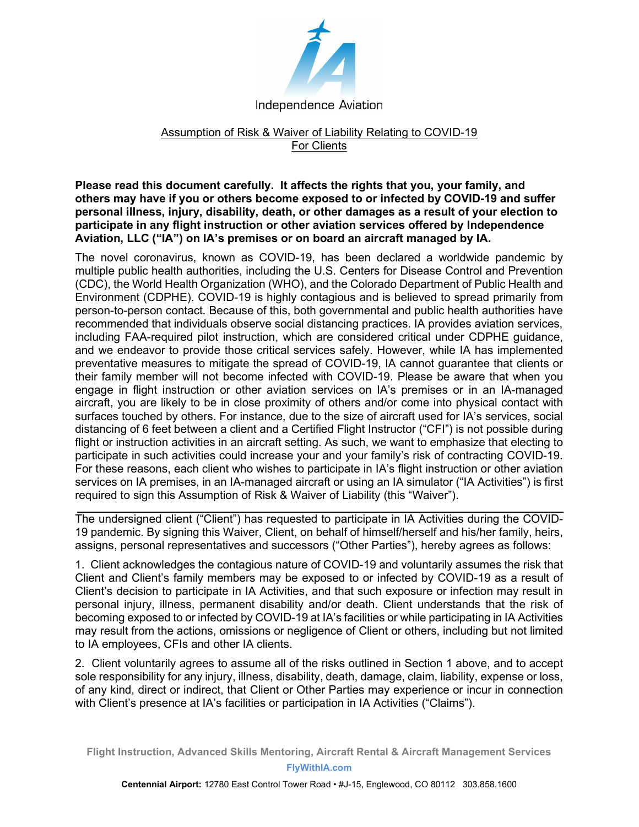

## Assumption of Risk & Waiver of Liability Relating to COVID-19 For Clients

Please read this document carefully. It affects the rights that you, your family, and others may have if you or others become exposed to or infected by COVID-19 and suffer personal illness, injury, disability, death, or other damages as a result of your election to participate in any flight instruction or other aviation services offered by Independence Aviation, LLC ("IA") on IA's premises or on board an aircraft managed by IA.

The novel coronavirus, known as COVID-19, has been declared a worldwide pandemic by multiple public health authorities, including the U.S. Centers for Disease Control and Prevention (CDC), the World Health Organization (WHO), and the Colorado Department of Public Health and Environment (CDPHE). COVID-19 is highly contagious and is believed to spread primarily from person-to-person contact. Because of this, both governmental and public health authorities have recommended that individuals observe social distancing practices. IA provides aviation services, including FAA-required pilot instruction, which are considered critical under CDPHE guidance, and we endeavor to provide those critical services safely. However, while IA has implemented preventative measures to mitigate the spread of COVID-19, IA cannot guarantee that clients or their family member will not become infected with COVID-19. Please be aware that when you engage in flight instruction or other aviation services on IA's premises or in an IA-managed aircraft, you are likely to be in close proximity of others and/or come into physical contact with surfaces touched by others. For instance, due to the size of aircraft used for IA's services, social distancing of 6 feet between a client and a Certified Flight Instructor ("CFI") is not possible during flight or instruction activities in an aircraft setting. As such, we want to emphasize that electing to participate in such activities could increase your and your family's risk of contracting COVID-19. For these reasons, each client who wishes to participate in IA's flight instruction or other aviation services on IA premises, in an IA-managed aircraft or using an IA simulator ("IA Activities") is first required to sign this Assumption of Risk & Waiver of Liability (this "Waiver").

The undersigned client ("Client") has requested to participate in IA Activities during the COVID-19 pandemic. By signing this Waiver, Client, on behalf of himself/herself and his/her family, heirs, assigns, personal representatives and successors ("Other Parties"), hereby agrees as follows:

1. Client acknowledges the contagious nature of COVID-19 and voluntarily assumes the risk that Client and Client's family members may be exposed to or infected by COVID-19 as a result of Client's decision to participate in IA Activities, and that such exposure or infection may result in personal injury, illness, permanent disability and/or death. Client understands that the risk of becoming exposed to or infected by COVID-19 at IA's facilities or while participating in IA Activities may result from the actions, omissions or negligence of Client or others, including but not limited to IA employees, CFIs and other IA clients.

2. Client voluntarily agrees to assume all of the risks outlined in Section 1 above, and to accept sole responsibility for any injury, illness, disability, death, damage, claim, liability, expense or loss, of any kind, direct or indirect, that Client or Other Parties may experience or incur in connection with Client's presence at IA's facilities or participation in IA Activities ("Claims").

Flight Instruction, Advanced Skills Mentoring, Aircraft Rental & Aircraft Management Services FlyWithIA.com